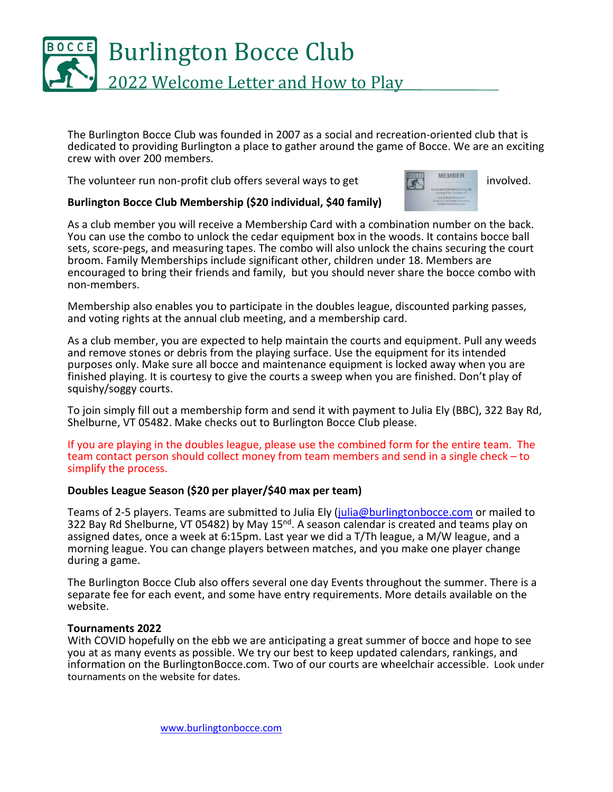

The Burlington Bocce Club was founded in 2007 as a social and recreation-oriented club that is dedicated to providing Burlington a place to gather around the game of Bocce. We are an exciting crew with over 200 members.

The volunteer run non-profit club offers several ways to get  $\overline{R}$  MEMBER involved.



## **Burlington Bocce Club Membership (\$20 individual, \$40 family)**

As a club member you will receive a Membership Card with a combination number on the back. You can use the combo to unlock the cedar equipment box in the woods. It contains bocce ball sets, score-pegs, and measuring tapes. The combo will also unlock the chains securing the court broom. Family Memberships include significant other, children under 18. Members are encouraged to bring their friends and family, but you should never share the bocce combo with non-members.

Membership also enables you to participate in the doubles league, discounted parking passes, and voting rights at the annual club meeting, and a membership card.

As a club member, you are expected to help maintain the courts and equipment. Pull any weeds and remove stones or debris from the playing surface. Use the equipment for its intended purposes only. Make sure all bocce and maintenance equipment is locked away when you are finished playing. It is courtesy to give the courts a sweep when you are finished. Don't play of squishy/soggy courts.

To join simply fill out a membership form and send it with payment to Julia Ely (BBC), 322 Bay Rd, Shelburne, VT 05482. Make checks out to Burlington Bocce Club please.

If you are playing in the doubles league, please use the combined form for the entire team. The team contact person should collect money from team members and send in a single check – to simplify the process.

### **Doubles League Season (\$20 per player/\$40 max per team)**

Teams of 2-5 players. Teams are submitted to Julia Ely [\(julia@burlingtonbocce.com](mailto:julia@burlingtonbocce.com) or mailed to 322 Bay Rd Shelburne, VT 05482) by May 15<sup>nd</sup>. A season calendar is created and teams play on assigned dates, once a week at 6:15pm. Last year we did a T/Th league, a M/W league, and a morning league. You can change players between matches, and you make one player change during a game.

The Burlington Bocce Club also offers several one day Events throughout the summer. There is a separate fee for each event, and some have entry requirements. More details available on the website.

#### **Tournaments 2022**

With COVID hopefully on the ebb we are anticipating a great summer of bocce and hope to see you at as many events as possible. We try our best to keep updated calendars, rankings, and information on the BurlingtonBocce.com. Two of our courts are wheelchair accessible. Look under tournaments on the website for dates.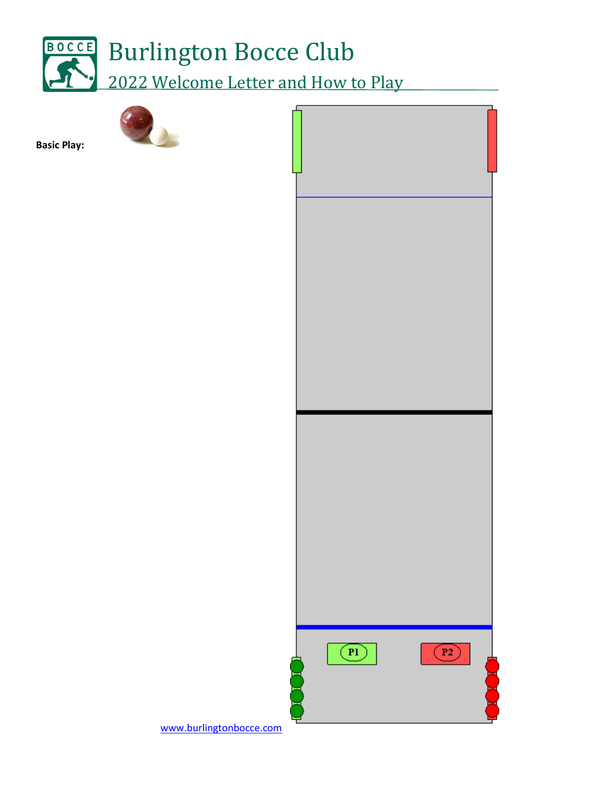



**Basic Play:** 

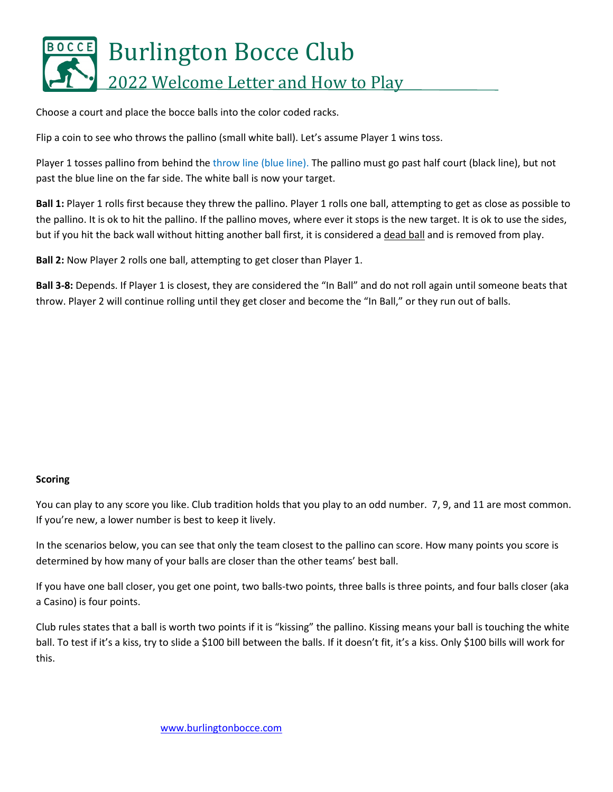

Choose a court and place the bocce balls into the color coded racks.

Flip a coin to see who throws the pallino (small white ball). Let's assume Player 1 wins toss.

Player 1 tosses pallino from behind the throw line (blue line). The pallino must go past half court (black line), but not past the blue line on the far side. The white ball is now your target.

**Ball 1:** Player 1 rolls first because they threw the pallino. Player 1 rolls one ball, attempting to get as close as possible to the pallino. It is ok to hit the pallino. If the pallino moves, where ever it stops is the new target. It is ok to use the sides, but if you hit the back wall without hitting another ball first, it is considered a dead ball and is removed from play.

**Ball 2:** Now Player 2 rolls one ball, attempting to get closer than Player 1.

**Ball 3-8:** Depends. If Player 1 is closest, they are considered the "In Ball" and do not roll again until someone beats that throw. Player 2 will continue rolling until they get closer and become the "In Ball," or they run out of balls.

#### **Scoring**

You can play to any score you like. Club tradition holds that you play to an odd number. 7, 9, and 11 are most common. If you're new, a lower number is best to keep it lively.

In the scenarios below, you can see that only the team closest to the pallino can score. How many points you score is determined by how many of your balls are closer than the other teams' best ball.

If you have one ball closer, you get one point, two balls-two points, three balls is three points, and four balls closer (aka a Casino) is four points.

Club rules states that a ball is worth two points if it is "kissing" the pallino. Kissing means your ball is touching the white ball. To test if it's a kiss, try to slide a \$100 bill between the balls. If it doesn't fit, it's a kiss. Only \$100 bills will work for this.